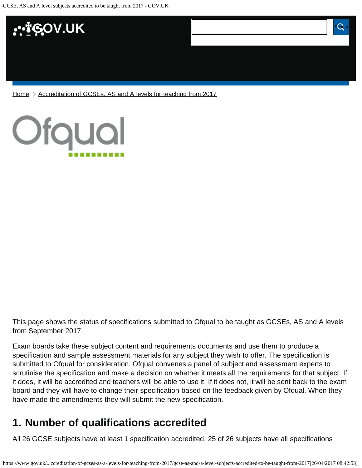

[Home](https://www.gov.uk/) > [Accreditation of GCSEs, AS and A levels for teaching from 2017](https://www.gov.uk/government/publications/accreditation-of-gcses-as-a-levels-for-teaching-from-2017)



This page shows the status of specifications submitted to Ofqual to be taught as GCSEs, AS and A levels from September 2017.

Exam boards take these subject content and requirements documents and use them to produce a specification and sample assessment materials for any subject they wish to offer. The specification is submitted to Ofqual for consideration. Ofqual convenes a panel of subject and assessment experts to scrutinise the specification and make a decision on whether it meets all the requirements for that subject. If it does, it will be accredited and teachers will be able to use it. If it does not, it will be sent back to the exam board and they will have to change their specification based on the feedback given by Ofqual. When they have made the amendments they will submit the new specification.

## <span id="page-0-0"></span>**1. Number of qualifications accredited**

All 26 GCSE subjects have at least 1 specification accredited. 25 of 26 subjects have all specifications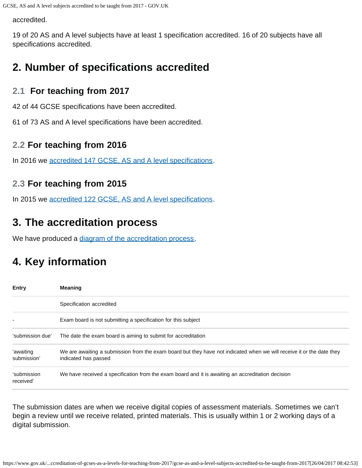accredited.

19 of 20 AS and A level subjects have at least 1 specification accredited. 16 of 20 subjects have all specifications accredited.

## <span id="page-1-0"></span>**2. Number of specifications accredited**

#### **2.1 For teaching from 2017**

42 of 44 GCSE specifications have been accredited.

61 of 73 AS and A level specifications have been accredited.

#### **2.2 For teaching from 2016**

In 2016 we [accredited 147 GCSE, AS and A level specifications.](https://www.gov.uk/government/publications/accreditation-of-gcses-as-a-levels-for-teaching-from-2016)

### **2.3 For teaching from 2015**

In 2015 we [accredited 122 GCSE, AS and A level specifications.](https://www.gov.uk/government/publications/new-gcses-as-and-a-levels-accredited-to-be-taught-from-2015)

## <span id="page-1-1"></span>**3. The accreditation process**

We have produced a [diagram of the accreditation process.](https://www.gov.uk/government/publications/your-qualification-our-regulation-gcse-as-and-a-level-reforms#attachment_1634078)

# <span id="page-1-2"></span>**4. Key information**

| <b>Entry</b>             | <b>Meaning</b>                                                                                                                                |
|--------------------------|-----------------------------------------------------------------------------------------------------------------------------------------------|
|                          | Specification accredited                                                                                                                      |
|                          | Exam board is not submitting a specification for this subject                                                                                 |
| 'submission due'         | The date the exam board is aiming to submit for accreditation                                                                                 |
| 'awaiting<br>submission' | We are awaiting a submission from the exam board but they have not indicated when we will receive it or the date they<br>indicated has passed |
| 'submission<br>received' | We have received a specification from the exam board and it is awaiting an accreditation decision                                             |

The submission dates are when we receive digital copies of assessment materials. Sometimes we can't begin a review until we receive related, printed materials. This is usually within 1 or 2 working days of a digital submission.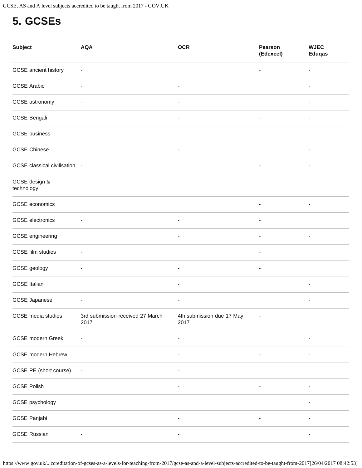# <span id="page-2-0"></span>**5. GCSEs**

| <b>Subject</b>                | <b>AQA</b>                               | <b>OCR</b>                        | Pearson<br>(Edexcel)     | <b>WJEC</b><br><b>Eduqas</b> |
|-------------------------------|------------------------------------------|-----------------------------------|--------------------------|------------------------------|
| GCSE ancient history          | ۰                                        |                                   | ۰                        |                              |
| <b>GCSE Arabic</b>            | ٠                                        | ۰                                 |                          |                              |
| GCSE astronomy                | ۰                                        | $\overline{\phantom{a}}$          |                          | ٠                            |
| <b>GCSE Bengali</b>           |                                          |                                   |                          |                              |
| <b>GCSE</b> business          |                                          |                                   |                          |                              |
| <b>GCSE Chinese</b>           |                                          | $\overline{\phantom{a}}$          |                          | -                            |
| GCSE classical civilisation - |                                          |                                   | $\overline{\phantom{a}}$ | $\overline{\phantom{a}}$     |
| GCSE design &<br>technology   |                                          |                                   |                          |                              |
| GCSE economics                |                                          |                                   | $\overline{\phantom{a}}$ | ٠                            |
| <b>GCSE</b> electronics       |                                          | $\overline{\phantom{a}}$          | ٠                        |                              |
| GCSE engineering              |                                          | $\overline{\phantom{a}}$          | $\overline{\phantom{a}}$ | ۰                            |
| GCSE film studies             |                                          |                                   |                          |                              |
| GCSE geology                  | $\overline{a}$                           | $\overline{\phantom{a}}$          | ۰                        |                              |
| <b>GCSE Italian</b>           |                                          | ۰                                 |                          | ۰                            |
| <b>GCSE Japanese</b>          | -                                        |                                   |                          |                              |
| GCSE media studies            | 3rd submission received 27 March<br>2017 | 4th submission due 17 May<br>2017 |                          |                              |
| <b>GCSE</b> modern Greek      |                                          | ۰                                 |                          | ۰                            |
| <b>GCSE</b> modern Hebrew     |                                          |                                   |                          |                              |
| GCSE PE (short course)        | $\overline{\phantom{a}}$                 |                                   |                          |                              |
| <b>GCSE Polish</b>            |                                          |                                   |                          |                              |
| GCSE psychology               |                                          |                                   |                          |                              |
| GCSE Panjabi                  |                                          |                                   |                          |                              |
| <b>GCSE Russian</b>           |                                          |                                   |                          |                              |

https://www.gov.uk/...ccreditation-of-gcses-as-a-levels-for-teaching-from-2017/gcse-as-and-a-level-subjects-accredited-to-be-taught-from-2017[26/04/2017 08:42:53]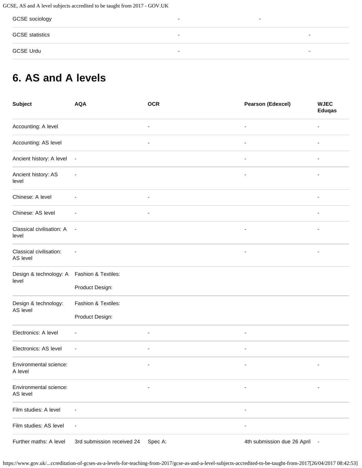GCSE, AS and A level subjects accredited to be taught from 2017 - GOV.UK

| GCSE sociology         | ۰ | - |                          |
|------------------------|---|---|--------------------------|
| <b>GCSE</b> statistics | - |   | $\overline{\phantom{0}}$ |
| <b>GCSE Urdu</b>       | ۰ |   | $\overline{\phantom{0}}$ |

# <span id="page-3-0"></span>**6. AS and A levels**

| <b>Subject</b>                                       | <b>AQA</b>                 | <b>OCR</b>               | <b>Pearson (Edexcel)</b>    | <b>WJEC</b><br><b>Eduqas</b> |
|------------------------------------------------------|----------------------------|--------------------------|-----------------------------|------------------------------|
| Accounting: A level                                  |                            | ÷,                       |                             |                              |
| Accounting: AS level                                 |                            | $\overline{\phantom{a}}$ | $\overline{\phantom{a}}$    |                              |
| Ancient history: A level                             | $\overline{\phantom{a}}$   |                          |                             |                              |
| Ancient history: AS<br>level                         | ÷,                         |                          |                             |                              |
| Chinese: A level                                     | $\overline{a}$             | $\overline{\phantom{a}}$ |                             |                              |
| Chinese: AS level                                    | $\overline{\phantom{a}}$   | $\overline{\phantom{a}}$ |                             | $\overline{\phantom{a}}$     |
| Classical civilisation: A<br>level                   | $\overline{\phantom{a}}$   |                          |                             |                              |
| Classical civilisation:<br>AS level                  | $\overline{\phantom{a}}$   |                          | $\overline{\phantom{a}}$    |                              |
| Design & technology: A  Fashion & Textiles:<br>level |                            |                          |                             |                              |
|                                                      | Product Design:            |                          |                             |                              |
| Design & technology:<br>AS level                     | Fashion & Textiles:        |                          |                             |                              |
|                                                      | Product Design:            |                          |                             |                              |
| Electronics: A level                                 | $\overline{\phantom{a}}$   | $\overline{\phantom{a}}$ | $\overline{\phantom{a}}$    |                              |
| Electronics: AS level                                | $\overline{\phantom{a}}$   | $\overline{\phantom{a}}$ | $\overline{\phantom{a}}$    |                              |
| Environmental science:<br>A level                    |                            | ٠                        | $\overline{\phantom{a}}$    | ٠                            |
| Environmental science:<br>AS level                   |                            | $\overline{\phantom{a}}$ | $\overline{a}$              |                              |
| Film studies: A level                                |                            |                          |                             |                              |
| Film studies: AS level                               | ٠                          |                          |                             |                              |
| Further maths: A level                               | 3rd submission received 24 | Spec A:                  | 4th submission due 26 April |                              |

https://www.gov.uk/...ccreditation-of-gcses-as-a-levels-for-teaching-from-2017/gcse-as-and-a-level-subjects-accredited-to-be-taught-from-2017[26/04/2017 08:42:53]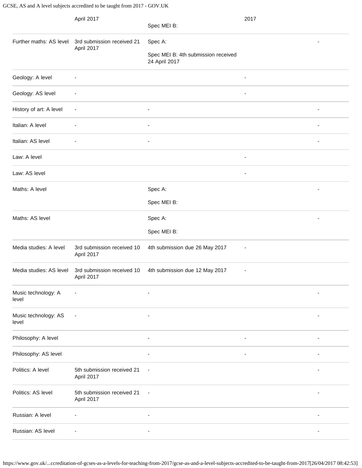GCSE, AS and A level subjects accredited to be taught from 2017 - GOV.UK

|                               | April 2017                               | Spec MEI B:                                          | 2017                     |  |
|-------------------------------|------------------------------------------|------------------------------------------------------|--------------------------|--|
| Further maths: AS level       | 3rd submission received 21<br>April 2017 | Spec A:                                              |                          |  |
|                               |                                          | Spec MEI B: 4th submission received<br>24 April 2017 |                          |  |
| Geology: A level              |                                          |                                                      | ٠                        |  |
| Geology: AS level             | $\overline{\phantom{a}}$                 |                                                      | $\overline{\phantom{a}}$ |  |
| History of art: A level       | $\overline{\phantom{a}}$                 |                                                      |                          |  |
| Italian: A level              |                                          |                                                      |                          |  |
| Italian: AS level             |                                          | ٠                                                    |                          |  |
| Law: A level                  |                                          |                                                      | $\overline{\phantom{a}}$ |  |
| Law: AS level                 |                                          |                                                      |                          |  |
| Maths: A level                |                                          | Spec A:                                              |                          |  |
|                               |                                          | Spec MEI B:                                          |                          |  |
| Maths: AS level               |                                          | Spec A:                                              |                          |  |
|                               |                                          | Spec MEI B:                                          |                          |  |
| Media studies: A level        | 3rd submission received 10<br>April 2017 | 4th submission due 26 May 2017                       |                          |  |
| Media studies: AS level       | 3rd submission received 10<br>April 2017 | 4th submission due 12 May 2017                       | $\overline{a}$           |  |
| Music technology: A<br>level  |                                          |                                                      |                          |  |
| Music technology: AS<br>level |                                          |                                                      |                          |  |
| Philosophy: A level           |                                          | $\overline{\phantom{a}}$                             | $\overline{\phantom{a}}$ |  |
| Philosophy: AS level          |                                          |                                                      |                          |  |
| Politics: A level             | 5th submission received 21<br>April 2017 | $\overline{a}$                                       |                          |  |
| Politics: AS level            | 5th submission received 21<br>April 2017 | ÷,                                                   |                          |  |
| Russian: A level              | $\overline{\phantom{a}}$                 | ٠                                                    |                          |  |
| Russian: AS level             | $\overline{\phantom{a}}$                 | $\overline{\phantom{a}}$                             |                          |  |

https://www.gov.uk/...ccreditation-of-gcses-as-a-levels-for-teaching-from-2017/gcse-as-and-a-level-subjects-accredited-to-be-taught-from-2017[26/04/2017 08:42:53]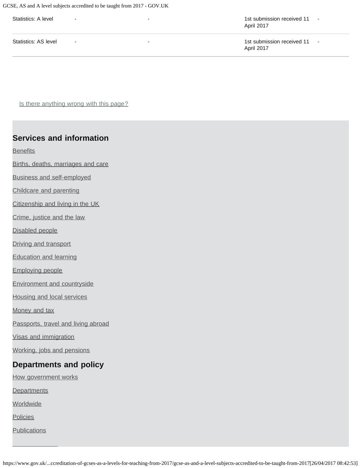GCSE, AS and A level subjects accredited to be taught from 2017 - GOV.UK

| Statistics: A level  | $\overline{a}$ | $\overline{\phantom{0}}$ | 1st submission received 11<br>$\overline{\phantom{a}}$<br>April 2017 |
|----------------------|----------------|--------------------------|----------------------------------------------------------------------|
| Statistics: AS level | $\sim$         | $\overline{\phantom{0}}$ | 1st submission received 11<br>$\overline{\phantom{a}}$<br>April 2017 |

Is there anything wrong with this page?

#### **Services and information**

**[Benefits](https://www.gov.uk/browse/benefits)** 

[Births, deaths, marriages and care](https://www.gov.uk/browse/births-deaths-marriages)

[Business and self-employed](https://www.gov.uk/browse/business)

[Childcare and parenting](https://www.gov.uk/browse/childcare-parenting)

[Citizenship and living in the UK](https://www.gov.uk/browse/citizenship)

[Crime, justice and the law](https://www.gov.uk/browse/justice)

[Disabled people](https://www.gov.uk/browse/disabilities)

[Driving and transport](https://www.gov.uk/browse/driving)

[Education and learning](https://www.gov.uk/browse/education)

[Employing people](https://www.gov.uk/browse/employing-people)

[Environment and countryside](https://www.gov.uk/browse/environment-countryside)

[Housing and local services](https://www.gov.uk/browse/housing-local-services)

[Money and tax](https://www.gov.uk/browse/tax)

[Passports, travel and living abroad](https://www.gov.uk/browse/abroad)

[Visas and immigration](https://www.gov.uk/browse/visas-immigration)

[Working, jobs and pensions](https://www.gov.uk/browse/working)

#### **Departments and policy**

[How government works](https://www.gov.uk/government/how-government-works)

**[Departments](https://www.gov.uk/government/organisations)** 

**[Worldwide](https://www.gov.uk/government/world)** 

**[Policies](https://www.gov.uk/government/policies)** 

**[Publications](https://www.gov.uk/government/publications)**